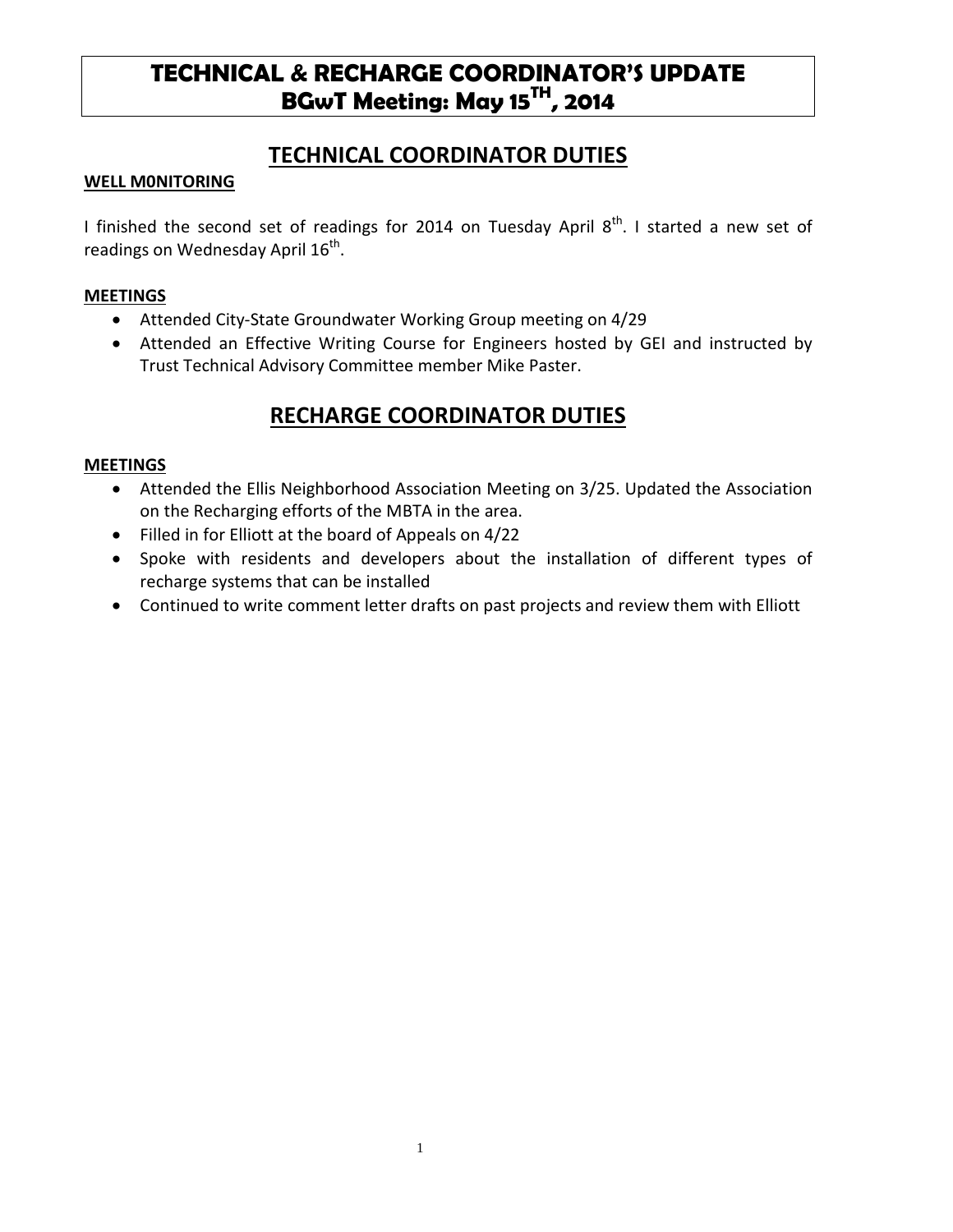# **TECHNICAL & RECHARGE COORDINATOR'S UPDATE BGwT Meeting: May 15TH, 2014**

## **TECHNICAL COORDINATOR DUTIES**

#### **WELL M0NITORING**

I finished the second set of readings for 2014 on Tuesday April  $8<sup>th</sup>$ . I started a new set of readings on Wednesday April  $16<sup>th</sup>$ .

#### **MEETINGS**

- Attended City-State Groundwater Working Group meeting on 4/29
- Attended an Effective Writing Course for Engineers hosted by GEI and instructed by Trust Technical Advisory Committee member Mike Paster.

## **RECHARGE COORDINATOR DUTIES**

#### **MEETINGS**

- Attended the Ellis Neighborhood Association Meeting on 3/25. Updated the Association on the Recharging efforts of the MBTA in the area.
- Filled in for Elliott at the board of Appeals on 4/22
- Spoke with residents and developers about the installation of different types of recharge systems that can be installed
- Continued to write comment letter drafts on past projects and review them with Elliott